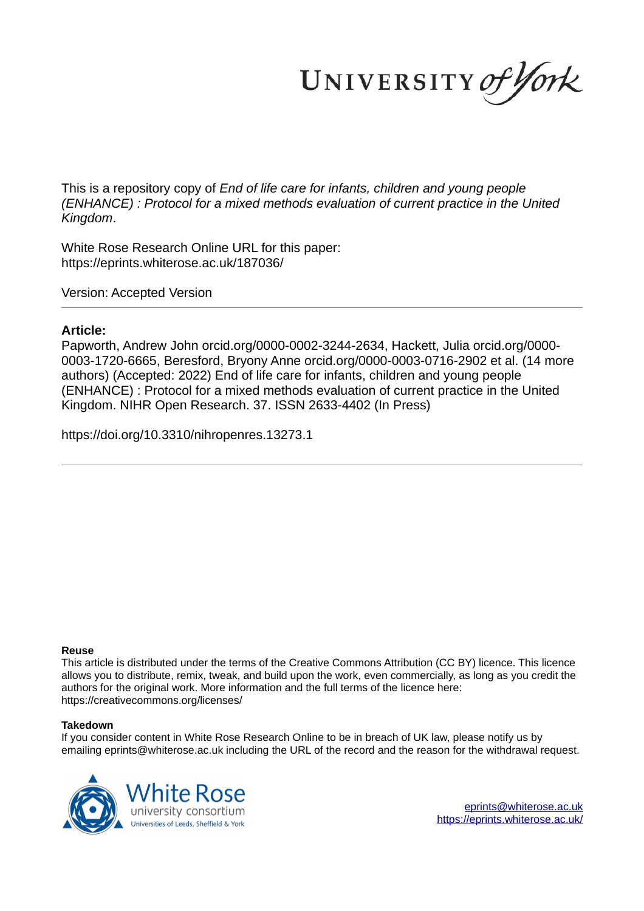UNIVERSITY of York

This is a repository copy of *End of life care for infants, children and young people (ENHANCE) : Protocol for a mixed methods evaluation of current practice in the United Kingdom*.

White Rose Research Online URL for this paper: https://eprints.whiterose.ac.uk/187036/

Version: Accepted Version

## **Article:**

Papworth, Andrew John orcid.org/0000-0002-3244-2634, Hackett, Julia orcid.org/0000- 0003-1720-6665, Beresford, Bryony Anne orcid.org/0000-0003-0716-2902 et al. (14 more authors) (Accepted: 2022) End of life care for infants, children and young people (ENHANCE) : Protocol for a mixed methods evaluation of current practice in the United Kingdom. NIHR Open Research. 37. ISSN 2633-4402 (In Press)

https://doi.org/10.3310/nihropenres.13273.1

## **Reuse**

This article is distributed under the terms of the Creative Commons Attribution (CC BY) licence. This licence allows you to distribute, remix, tweak, and build upon the work, even commercially, as long as you credit the authors for the original work. More information and the full terms of the licence here: https://creativecommons.org/licenses/

## **Takedown**

If you consider content in White Rose Research Online to be in breach of UK law, please notify us by emailing eprints@whiterose.ac.uk including the URL of the record and the reason for the withdrawal request.

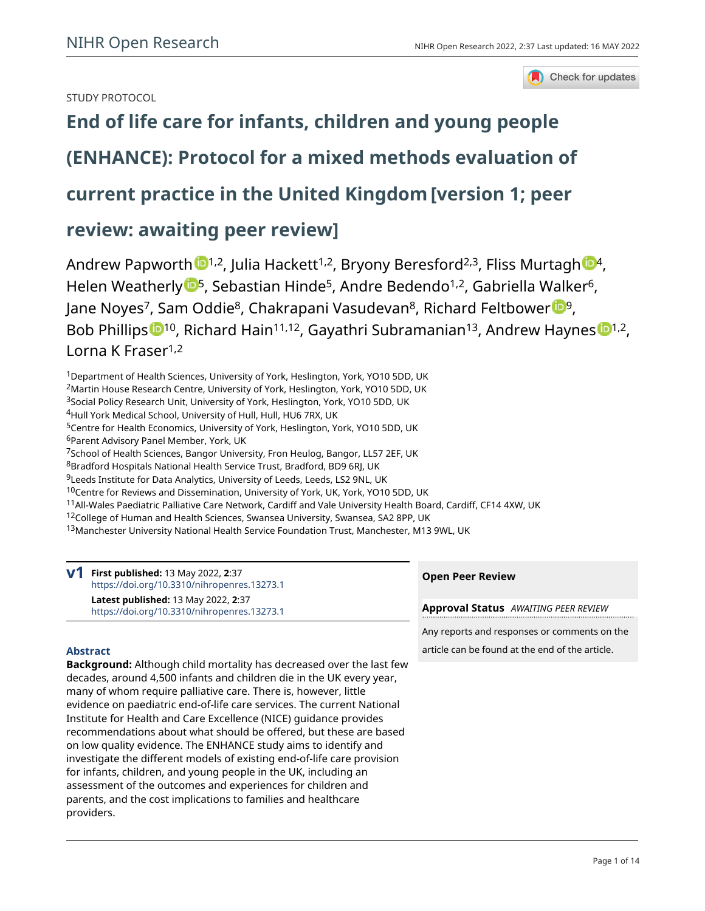## STUDY PROTOCOL



# **[End of life care for infants, children and young people](https://openresearch.nihr.ac.uk/articles/2-37/v1)**

# **[\(ENHANCE\): Protocol for a mixed methods evaluation of](https://openresearch.nihr.ac.uk/articles/2-37/v1)**

## **[current practice in the United Kingdom](https://openresearch.nihr.ac.uk/articles/2-37/v1)[version 1; peer**

## **review: awaiting peer review]**

Andrew Papworth  $\mathbb{D}^{1,2}$ , Julia Hackett<sup>1,2</sup>, Bryony Beresford<sup>2,3</sup>, Fliss Murtagh  $\mathbb{D}^4$ , Helen Weatherly <sup>15</sup>, Sebastian Hinde<sup>5</sup>, Andre Bedendo<sup>1,2</sup>, Gabriella Walker<sup>6</sup>, Jane Noyes<sup>7</sup>, Sam Oddie<sup>8</sup>, Chak[r](https://orcid.org/0000-0002-1728-9408)apani Vasudevan<sup>8</sup>, Richard Feltbower <sup>199</sup>, Bob Phillips <sup>10</sup>, Richard Hain<sup>11,12</sup>, Gayathri Subramanian<sup>13</sup>, Andrew Haynes <sup>11,2</sup>, Lorna K Fraser<sup>1,2</sup>

Department of Health Sciences, University of York, Heslington, York, YO10 5DD, UK Martin House Research Centre, University of York, Heslington, York, YO10 5DD, UK Social Policy Research Unit, University of York, Heslington, York, YO10 5DD, UK Hull York Medical School, University of Hull, Hull, HU6 7RX, UK Centre for Health Economics, University of York, Heslington, York, YO10 5DD, UK

<sup>6</sup>Parent Advisory Panel Member, York, UK

<sup>7</sup>School of Health Sciences, Bangor University, Fron Heulog, Bangor, LL57 2EF, UK

<sup>8</sup>Bradford Hospitals National Health Service Trust, Bradford, BD9 6RJ, UK

<sup>9</sup>Leeds Institute for Data Analytics, University of Leeds, Leeds, LS2 9NL, UK

<sup>10</sup>Centre for Reviews and Dissemination, University of York, UK, York, YO10 5DD, UK

<sup>11</sup>All-Wales Paediatric Palliative Care Network, Cardiff and Vale University Health Board, Cardiff, CF14 4XW, UK

<sup>12</sup>College of Human and Health Sciences, Swansea University, Swansea, SA2 8PP, UK

13Manchester University National Health Service Foundation Trust, Manchester, M13 9WL, UK

**V1** First published: 13 May 2022, 2:37 <https://doi.org/10.3310/nihropenres.13273.1> **Latest published:** 13 May 2022, **2**:37 <https://doi.org/10.3310/nihropenres.13273.1>

## **Open Peer Review**

**Approval Status** *AWAITING PEER REVIEW*

Any reports and responses or comments on the article can be found at the end of the article.

## **Abstract**

**Background:** Although child mortality has decreased over the last few decades, around 4,500 infants and children die in the UK every year, many of whom require palliative care. There is, however, little evidence on paediatric end-of-life care services. The current National Institute for Health and Care Excellence (NICE) guidance provides recommendations about what should be offered, but these are based on low quality evidence. The ENHANCE study aims to identify and investigate the different models of existing end-of-life care provision for infants, children, and young people in the UK, including an assessment of the outcomes and experiences for children and parents, and the cost implications to families and healthcare providers.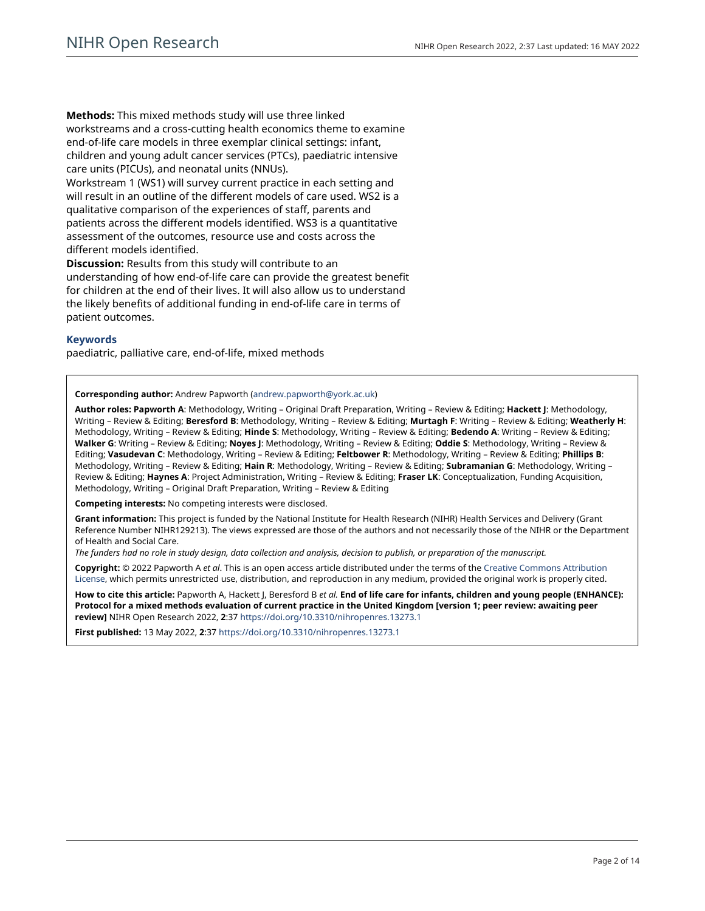**Methods:** This mixed methods study will use three linked workstreams and a cross-cutting health economics theme to examine end-of-life care models in three exemplar clinical settings: infant, children and young adult cancer services (PTCs), paediatric intensive care units (PICUs), and neonatal units (NNUs).

Workstream 1 (WS1) will survey current practice in each setting and will result in an outline of the different models of care used. WS2 is a qualitative comparison of the experiences of staff, parents and patients across the different models identified. WS3 is a quantitative assessment of the outcomes, resource use and costs across the different models identified.

**Discussion:** Results from this study will contribute to an understanding of how end-of-life care can provide the greatest benefit for children at the end of their lives. It will also allow us to understand the likely benefits of additional funding in end-of-life care in terms of patient outcomes.

## **Keywords**

paediatric, palliative care, end-of-life, mixed methods

**Corresponding author:** Andrew Papworth ([andrew.papworth@york.ac.uk\)](mailto:andrew.papworth@york.ac.uk)

**Author roles: Papworth A**: Methodology, Writing – Original Draft Preparation, Writing – Review & Editing; **Hackett J**: Methodology, Writing – Review & Editing; **Beresford B**: Methodology, Writing – Review & Editing; **Murtagh F**: Writing – Review & Editing; **Weatherly H**: Methodology, Writing – Review & Editing; **Hinde S**: Methodology, Writing – Review & Editing; **Bedendo A**: Writing – Review & Editing; **Walker G**: Writing – Review & Editing; **Noyes J**: Methodology, Writing – Review & Editing; **Oddie S**: Methodology, Writing – Review & Editing; **Vasudevan C**: Methodology, Writing – Review & Editing; **Feltbower R**: Methodology, Writing – Review & Editing; **Phillips B**: Methodology, Writing – Review & Editing; **Hain R**: Methodology, Writing – Review & Editing; **Subramanian G**: Methodology, Writing – Review & Editing; **Haynes A**: Project Administration, Writing – Review & Editing; **Fraser LK**: Conceptualization, Funding Acquisition, Methodology, Writing – Original Draft Preparation, Writing – Review & Editing

**Competing interests:** No competing interests were disclosed.

**Grant information:** This project is funded by the National Institute for Health Research (NIHR) Health Services and Delivery (Grant Reference Number NIHR129213). The views expressed are those of the authors and not necessarily those of the NIHR or the Department of Health and Social Care.

*The funders had no role in study design, data collection and analysis, decision to publish, or preparation of the manuscript.*

**Copyright:** © 2022 Papworth A *et al*. This is an open access article distributed under the terms of the [Creative Commons Attribution](http://creativecommons.org/licenses/by/4.0/)  [License](http://creativecommons.org/licenses/by/4.0/), which permits unrestricted use, distribution, and reproduction in any medium, provided the original work is properly cited.

**How to cite this article:** Papworth A, Hackett J, Beresford B *et al.* **End of life care for infants, children and young people (ENHANCE): Protocol for a mixed methods evaluation of current practice in the United Kingdom [version 1; peer review: awaiting peer review]** NIHR Open Research 2022, **2**:37 <https://doi.org/10.3310/nihropenres.13273.1>

**First published:** 13 May 2022, **2**:37<https://doi.org/10.3310/nihropenres.13273.1>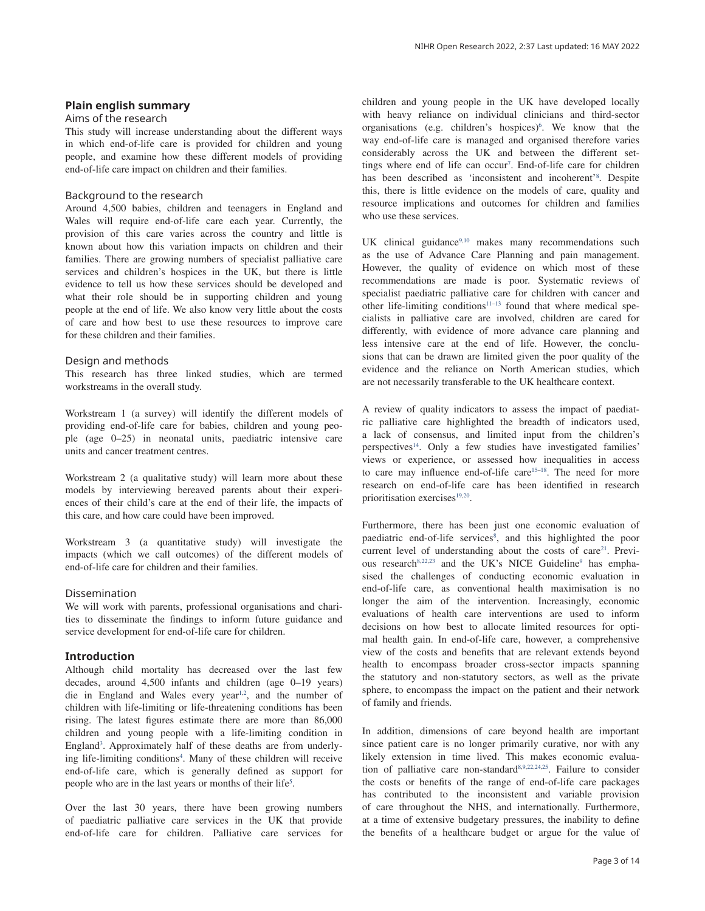## **Plain english summary**

#### Aims of the research

This study will increase understanding about the different ways in which end-of-life care is provided for children and young people, and examine how these different models of providing end-of-life care impact on children and their families.

## Background to the research

Around 4,500 babies, children and teenagers in England and Wales will require end-of-life care each year. Currently, the provision of this care varies across the country and little is known about how this variation impacts on children and their families. There are growing numbers of specialist palliative care services and children's hospices in the UK, but there is little evidence to tell us how these services should be developed and what their role should be in supporting children and young people at the end of life. We also know very little about the costs of care and how best to use these resources to improve care for these children and their families.

## Design and methods

This research has three linked studies, which are termed workstreams in the overall study.

Workstream 1 (a survey) will identify the different models of providing end-of-life care for babies, children and young people (age 0–25) in neonatal units, paediatric intensive care units and cancer treatment centres.

Workstream 2 (a qualitative study) will learn more about these models by interviewing bereaved parents about their experiences of their child's care at the end of their life, the impacts of this care, and how care could have been improved.

Workstream 3 (a quantitative study) will investigate the impacts (which we call outcomes) of the different models of end-of-life care for children and their families.

### Dissemination

We will work with parents, professional organisations and charities to disseminate the findings to inform future guidance and service development for end-of-life care for children.

## **Introduction**

Although child mortality has decreased over the last few decades, around 4,500 infants and children (age 0–19 years) die in England and Wales every year<sup>1,2</sup>, and the number of children with life-limiting or life-threatening conditions has been rising. The latest figures estimate there are more than 86,000 children and young people with a life-limiting condition in England<sup>3</sup>. Approximately half of these deaths are from underlying life-limiting conditions<sup>4</sup>. Many of these children will receive end-of-life care, which is generally defined as support for people who are in the last years or months of their life<sup>5</sup>.

Over the last 30 years, there have been growing numbers of paediatric palliative care services in the UK that provide end-of-life care for children. Palliative care services for

children and young people in the UK have developed locally with heavy reliance on individual clinicians and third-sector organisations (e.g. children's hospices)<sup>6</sup>. We know that the way end-of-life care is managed and organised therefore varies considerably across the UK and between the different settings where end of life can occur<sup>7</sup>. End-of-life care for children has been described as 'inconsistent and incoherent'<sup>8</sup> . Despite this, there is little evidence on the models of care, quality and resource implications and outcomes for children and families who use these services.

UK clinical guidance<sup>9,10</sup> makes many recommendations such as the use of Advance Care Planning and pain management. However, the quality of evidence on which most of these recommendations are made is poor. Systematic reviews of specialist paediatric palliative care for children with cancer and other life-limiting conditions<sup>11-13</sup> found that where medical specialists in palliative care are involved, children are cared for differently, with evidence of more advance care planning and less intensive care at the end of life. However, the conclusions that can be drawn are limited given the poor quality of the evidence and the reliance on North American studies, which are not necessarily transferable to the UK healthcare context.

A review of quality indicators to assess the impact of paediatric palliative care highlighted the breadth of indicators used, a lack of consensus, and limited input from the children's perspectives<sup>14</sup>. Only a few studies have investigated families' views or experience, or assessed how inequalities in access to care may influence end-of-life care<sup>15-18</sup>. The need for more research on end-of-life care has been identified in research prioritisation exercises<sup>19,20</sup>.

Furthermore, there has been just one economic evaluation of paediatric end-of-life services<sup>8</sup>, and this highlighted the poor current level of understanding about the costs of care<sup>21</sup>. Previous research<sup>8,22,23</sup> and the UK's NICE Guideline<sup>9</sup> has emphasised the challenges of conducting economic evaluation in end-of-life care, as conventional health maximisation is no longer the aim of the intervention. Increasingly, economic evaluations of health care interventions are used to inform decisions on how best to allocate limited resources for optimal health gain. In end-of-life care, however, a comprehensive view of the costs and benefits that are relevant extends beyond health to encompass broader cross-sector impacts spanning the statutory and non-statutory sectors, as well as the private sphere, to encompass the impact on the patient and their network of family and friends.

In addition, dimensions of care beyond health are important since patient care is no longer primarily curative, nor with any likely extension in time lived. This makes economic evaluation of palliative care non-standard8,9,22,24,25. Failure to consider the costs or benefits of the range of end-of-life care packages has contributed to the inconsistent and variable provision of care throughout the NHS, and internationally. Furthermore, at a time of extensive budgetary pressures, the inability to define the benefits of a healthcare budget or argue for the value of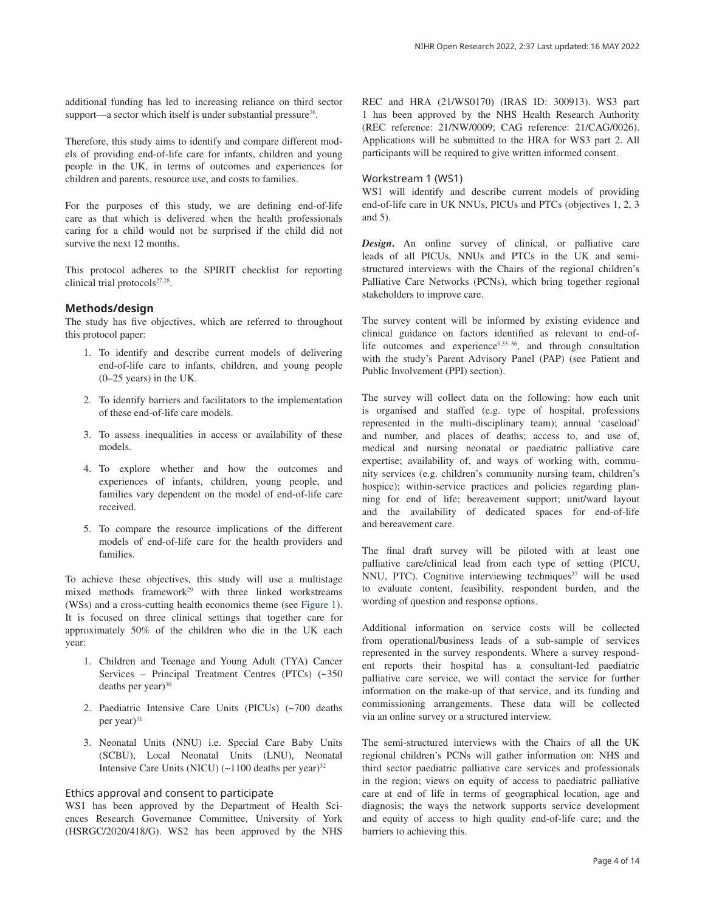additional funding has led to increasing reliance on third sector support—a sector which itself is under substantial pressure $26$ .

Therefore, this study aims to identify and compare different models of providing end-of-life care for infants, children and young people in the UK, in terms of outcomes and experiences for children and parents, resource use, and costs to families.

For the purposes of this study, we are defining end-of-life care as that which is delivered when the health professionals caring for a child would not be surprised if the child did not survive the next 12 months.

This protocol adheres to the SPIRIT checklist for reporting clinical trial protocols<sup>27,28</sup>.

## **Methods/design**

The study has five objectives, which are referred to throughout this protocol paper:

- 1. To identify and describe current models of delivering end-of-life care to infants, children, and young people (0–25 years) in the UK.
- 2. To identify barriers and facilitators to the implementation of these end-of-life care models.
- 3. To assess inequalities in access or availability of these models.
- 4. To explore whether and how the outcomes and experiences of infants, children, young people, and families vary dependent on the model of end-of-life care received.
- 5. To compare the resource implications of the different models of end-of-life care for the health providers and families.

To achieve these objectives, this study will use a multistage mixed methods framework<sup>29</sup> with three linked workstreams (WSs) and a cross-cutting health economics theme (see Figure 1). It is focused on three clinical settings that together care for approximately 50% of the children who die in the UK each year:

- 1. Children and Teenage and Young Adult (TYA) Cancer Services – Principal Treatment Centres (PTCs) (~350 deaths per year) $30$
- 2. Paediatric Intensive Care Units (PICUs) (~700 deaths per year)<sup>31</sup>
- 3. Neonatal Units (NNU) i.e. Special Care Baby Units (SCBU), Local Neonatal Units (LNU), Neonatal Intensive Care Units (NICU)  $({\sim}1100$  deaths per year)<sup>32</sup>

### Ethics approval and consent to participate

WS1 has been approved by the Department of Health Sciences Research Governance Committee, University of York (HSRGC/2020/418/G). WS2 has been approved by the NHS REC and HRA (21/WS0170) (IRAS ID: 300913). WS3 part 1 has been approved by the NHS Health Research Authority (REC reference: 21/NW/0009; CAG reference: 21/CAG/0026). Applications will be submitted to the HRA for WS3 part 2. All participants will be required to give written informed consent.

### Workstream 1 (WS1)

WS1 will identify and describe current models of providing end-of-life care in UK NNUs, PICUs and PTCs (objectives 1, 2, 3 and 5).

*Design***.** An online survey of clinical, or palliative care leads of all PICUs, NNUs and PTCs in the UK and semistructured interviews with the Chairs of the regional children's Palliative Care Networks (PCNs), which bring together regional stakeholders to improve care.

The survey content will be informed by existing evidence and clinical guidance on factors identified as relevant to end-oflife outcomes and experience $9,33-36$ , and through consultation with the study's Parent Advisory Panel (PAP) (see Patient and Public Involvement (PPI) section).

The survey will collect data on the following: how each unit is organised and staffed (e.g. type of hospital, professions represented in the multi-disciplinary team); annual 'caseload' and number, and places of deaths; access to, and use of, medical and nursing neonatal or paediatric palliative care expertise; availability of, and ways of working with, community services (e.g. children's community nursing team, children's hospice); within-service practices and policies regarding planning for end of life; bereavement support; unit/ward layout and the availability of dedicated spaces for end-of-life and bereavement care.

The final draft survey will be piloted with at least one palliative care/clinical lead from each type of setting (PICU, NNU, PTC). Cognitive interviewing techniques<sup>37</sup> will be used to evaluate content, feasibility, respondent burden, and the wording of question and response options.

Additional information on service costs will be collected from operational/business leads of a sub-sample of services represented in the survey respondents. Where a survey respondent reports their hospital has a consultant-led paediatric palliative care service, we will contact the service for further information on the make-up of that service, and its funding and commissioning arrangements. These data will be collected via an online survey or a structured interview.

The semi-structured interviews with the Chairs of all the UK regional children's PCNs will gather information on: NHS and third sector paediatric palliative care services and professionals in the region; views on equity of access to paediatric palliative care at end of life in terms of geographical location, age and diagnosis; the ways the network supports service development and equity of access to high quality end-of-life care; and the barriers to achieving this.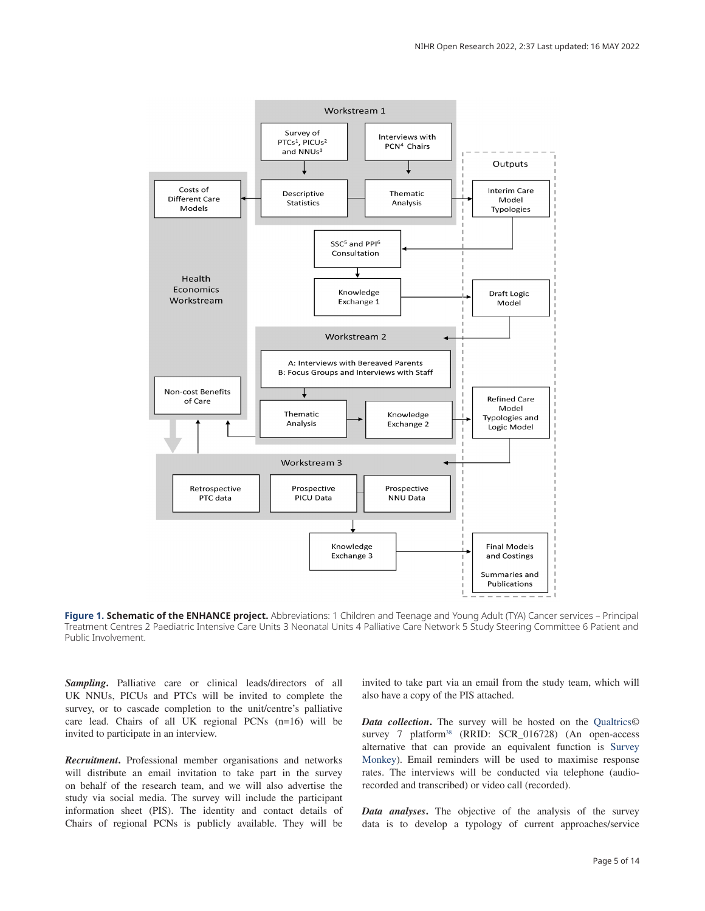

**Figure 1. Schematic of the ENHANCE project.** Abbreviations: 1 Children and Teenage and Young Adult (TYA) Cancer services – Principal Treatment Centres 2 Paediatric Intensive Care Units 3 Neonatal Units 4 Palliative Care Network 5 Study Steering Committee 6 Patient and Public Involvement.

*Sampling***.** Palliative care or clinical leads/directors of all UK NNUs, PICUs and PTCs will be invited to complete the survey, or to cascade completion to the unit/centre's palliative care lead. Chairs of all UK regional PCNs (n=16) will be invited to participate in an interview.

*Recruitment***.** Professional member organisations and networks will distribute an email invitation to take part in the survey on behalf of the research team, and we will also advertise the study via social media. The survey will include the participant information sheet (PIS). The identity and contact details of Chairs of regional PCNs is publicly available. They will be

invited to take part via an email from the study team, which will also have a copy of the PIS attached.

*Data collection***.** The survey will be hosted on the Qualtrics© survey 7 platform<sup>38</sup> (RRID: SCR\_016728) (An open-access alternative that can provide an equivalent function is Survey Monkey). Email reminders will be used to maximise response rates. The interviews will be conducted via telephone (audiorecorded and transcribed) or video call (recorded).

*Data analyses***.** The objective of the analysis of the survey data is to develop a typology of current approaches/service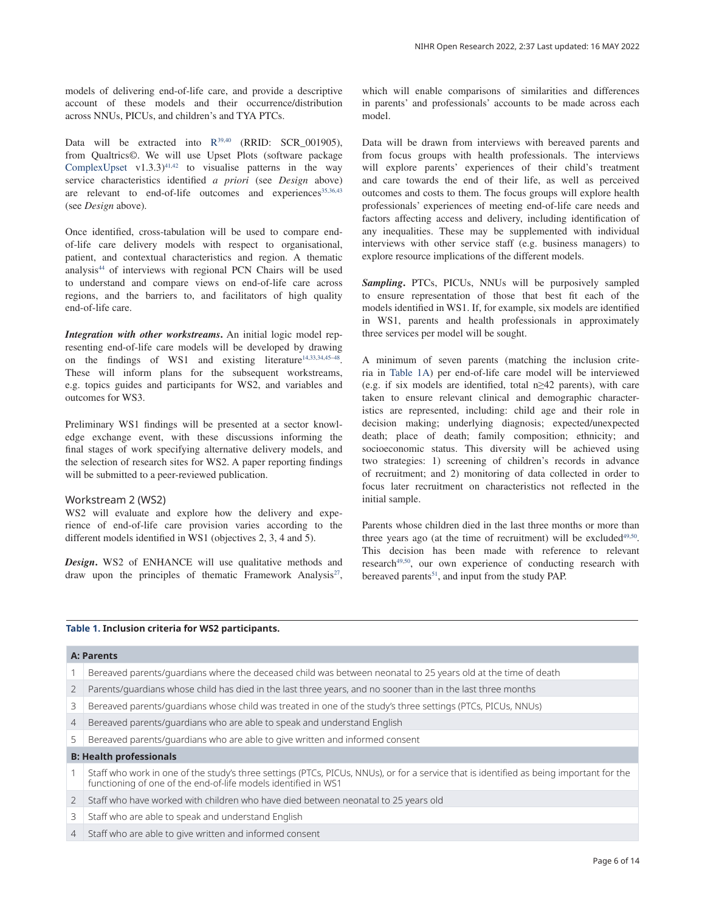models of delivering end-of-life care, and provide a descriptive account of these models and their occurrence/distribution across NNUs, PICUs, and children's and TYA PTCs.

Data will be extracted into R<sup>39,40</sup> (RRID: SCR\_001905), from Qualtrics©. We will use Upset Plots (software package ComplexUpset v1.3.3)<sup>41,42</sup> to visualise patterns in the way service characteristics identified *a priori* (see *Design* above) are relevant to end-of-life outcomes and experiences<sup>35,36,43</sup> (see *Design* above).

Once identified, cross-tabulation will be used to compare endof-life care delivery models with respect to organisational, patient, and contextual characteristics and region. A thematic analysis<sup>44</sup> of interviews with regional PCN Chairs will be used to understand and compare views on end-of-life care across regions, and the barriers to, and facilitators of high quality end-of-life care.

*Integration with other workstreams***.** An initial logic model representing end-of-life care models will be developed by drawing on the findings of WS1 and existing literature<sup>14,33,34,45–48</sup>. These will inform plans for the subsequent workstreams, e.g. topics guides and participants for WS2, and variables and outcomes for WS3.

Preliminary WS1 findings will be presented at a sector knowledge exchange event, with these discussions informing the final stages of work specifying alternative delivery models, and the selection of research sites for WS2. A paper reporting findings will be submitted to a peer-reviewed publication.

#### Workstream 2 (WS2)

WS2 will evaluate and explore how the delivery and experience of end-of-life care provision varies according to the different models identified in WS1 (objectives 2, 3, 4 and 5).

*Design*. WS2 of ENHANCE will use qualitative methods and draw upon the principles of thematic Framework Analysis<sup>27</sup>,

which will enable comparisons of similarities and differences in parents' and professionals' accounts to be made across each model.

Data will be drawn from interviews with bereaved parents and from focus groups with health professionals. The interviews will explore parents' experiences of their child's treatment and care towards the end of their life, as well as perceived outcomes and costs to them. The focus groups will explore health professionals' experiences of meeting end-of-life care needs and factors affecting access and delivery, including identification of any inequalities. These may be supplemented with individual interviews with other service staff (e.g. business managers) to explore resource implications of the different models.

*Sampling***.** PTCs, PICUs, NNUs will be purposively sampled to ensure representation of those that best fit each of the models identified in WS1. If, for example, six models are identified in WS1, parents and health professionals in approximately three services per model will be sought.

A minimum of seven parents (matching the inclusion criteria in Table 1A) per end-of-life care model will be interviewed (e.g. if six models are identified, total n≥42 parents), with care taken to ensure relevant clinical and demographic characteristics are represented, including: child age and their role in decision making; underlying diagnosis; expected/unexpected death; place of death; family composition; ethnicity; and socioeconomic status. This diversity will be achieved using two strategies: 1) screening of children's records in advance of recruitment; and 2) monitoring of data collected in order to focus later recruitment on characteristics not reflected in the initial sample.

Parents whose children died in the last three months or more than three years ago (at the time of recruitment) will be excluded $49,50$ . This decision has been made with reference to relevant research<sup>49,50</sup>, our own experience of conducting research with bereaved parents<sup>51</sup>, and input from the study PAP.

#### **Table 1. Inclusion criteria for WS2 participants.**

#### **A: Parents**

- 1 Bereaved parents/guardians where the deceased child was between neonatal to 25 years old at the time of death
- 2 Parents/guardians whose child has died in the last three years, and no sooner than in the last three months
- 3 Bereaved parents/guardians whose child was treated in one of the study's three settings (PTCs, PICUs, NNUs)
- 4 Bereaved parents/guardians who are able to speak and understand English
- 5 Bereaved parents/guardians who are able to give written and informed consent

## **B: Health professionals**

- 1 Staff who work in one of the study's three settings (PTCs, PICUs, NNUs), or for a service that is identified as being important for the functioning of one of the end-of-life models identified in WS1
- 2 Staff who have worked with children who have died between neonatal to 25 years old
- 3 Staff who are able to speak and understand English
- 4 Staff who are able to give written and informed consent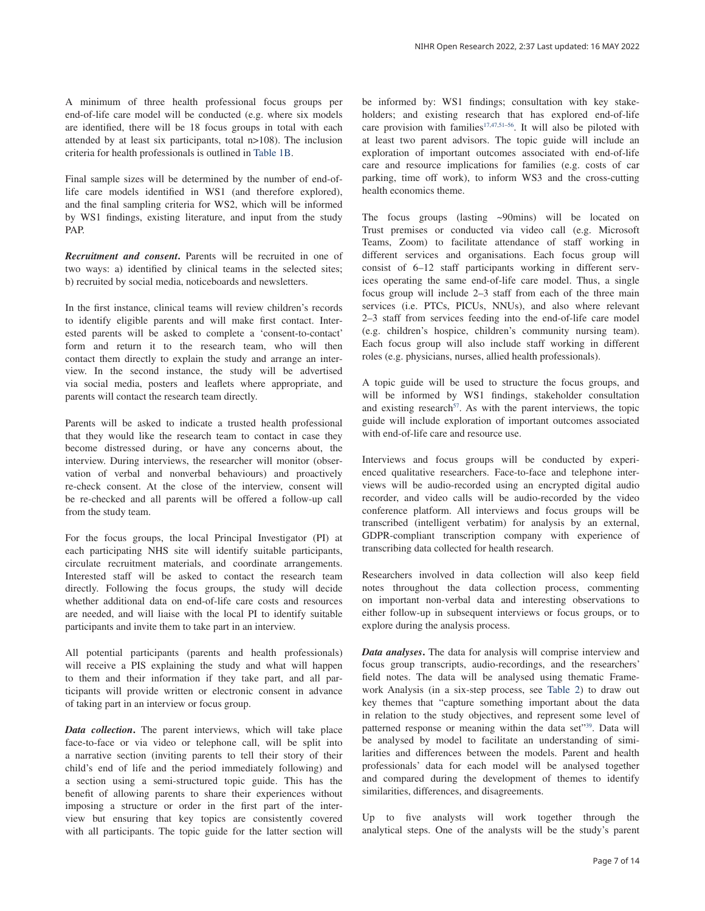A minimum of three health professional focus groups per end-of-life care model will be conducted (e.g. where six models are identified, there will be 18 focus groups in total with each attended by at least six participants, total n>108). The inclusion criteria for health professionals is outlined in Table 1B.

Final sample sizes will be determined by the number of end-oflife care models identified in WS1 (and therefore explored), and the final sampling criteria for WS2, which will be informed by WS1 findings, existing literature, and input from the study PAP.

*Recruitment and consent***.** Parents will be recruited in one of two ways: a) identified by clinical teams in the selected sites; b) recruited by social media, noticeboards and newsletters.

In the first instance, clinical teams will review children's records to identify eligible parents and will make first contact. Interested parents will be asked to complete a 'consent-to-contact' form and return it to the research team, who will then contact them directly to explain the study and arrange an interview. In the second instance, the study will be advertised via social media, posters and leaflets where appropriate, and parents will contact the research team directly.

Parents will be asked to indicate a trusted health professional that they would like the research team to contact in case they become distressed during, or have any concerns about, the interview. During interviews, the researcher will monitor (observation of verbal and nonverbal behaviours) and proactively re-check consent. At the close of the interview, consent will be re-checked and all parents will be offered a follow-up call from the study team.

For the focus groups, the local Principal Investigator (PI) at each participating NHS site will identify suitable participants, circulate recruitment materials, and coordinate arrangements. Interested staff will be asked to contact the research team directly. Following the focus groups, the study will decide whether additional data on end-of-life care costs and resources are needed, and will liaise with the local PI to identify suitable participants and invite them to take part in an interview.

All potential participants (parents and health professionals) will receive a PIS explaining the study and what will happen to them and their information if they take part, and all participants will provide written or electronic consent in advance of taking part in an interview or focus group.

*Data collection***.** The parent interviews, which will take place face-to-face or via video or telephone call, will be split into a narrative section (inviting parents to tell their story of their child's end of life and the period immediately following) and a section using a semi-structured topic guide. This has the benefit of allowing parents to share their experiences without imposing a structure or order in the first part of the interview but ensuring that key topics are consistently covered with all participants. The topic guide for the latter section will

be informed by: WS1 findings; consultation with key stakeholders; and existing research that has explored end-of-life care provision with families<sup>17,47,51–56</sup>. It will also be piloted with at least two parent advisors. The topic guide will include an exploration of important outcomes associated with end-of-life care and resource implications for families (e.g. costs of car parking, time off work), to inform WS3 and the cross-cutting health economics theme.

The focus groups (lasting ~90mins) will be located on Trust premises or conducted via video call (e.g. Microsoft Teams, Zoom) to facilitate attendance of staff working in different services and organisations. Each focus group will consist of 6–12 staff participants working in different services operating the same end-of-life care model. Thus, a single focus group will include 2–3 staff from each of the three main services (i.e. PTCs, PICUs, NNUs), and also where relevant 2–3 staff from services feeding into the end-of-life care model (e.g. children's hospice, children's community nursing team). Each focus group will also include staff working in different roles (e.g. physicians, nurses, allied health professionals).

A topic guide will be used to structure the focus groups, and will be informed by WS1 findings, stakeholder consultation and existing research<sup>57</sup>. As with the parent interviews, the topic guide will include exploration of important outcomes associated with end-of-life care and resource use.

Interviews and focus groups will be conducted by experienced qualitative researchers. Face-to-face and telephone interviews will be audio-recorded using an encrypted digital audio recorder, and video calls will be audio-recorded by the video conference platform. All interviews and focus groups will be transcribed (intelligent verbatim) for analysis by an external, GDPR-compliant transcription company with experience of transcribing data collected for health research.

Researchers involved in data collection will also keep field notes throughout the data collection process, commenting on important non-verbal data and interesting observations to either follow-up in subsequent interviews or focus groups, or to explore during the analysis process.

*Data analyses***.** The data for analysis will comprise interview and focus group transcripts, audio-recordings, and the researchers' field notes. The data will be analysed using thematic Framework Analysis (in a six-step process, see Table 2) to draw out key themes that "capture something important about the data in relation to the study objectives, and represent some level of patterned response or meaning within the data set"39. Data will be analysed by model to facilitate an understanding of similarities and differences between the models. Parent and health professionals' data for each model will be analysed together and compared during the development of themes to identify similarities, differences, and disagreements.

Up to five analysts will work together through the analytical steps. One of the analysts will be the study's parent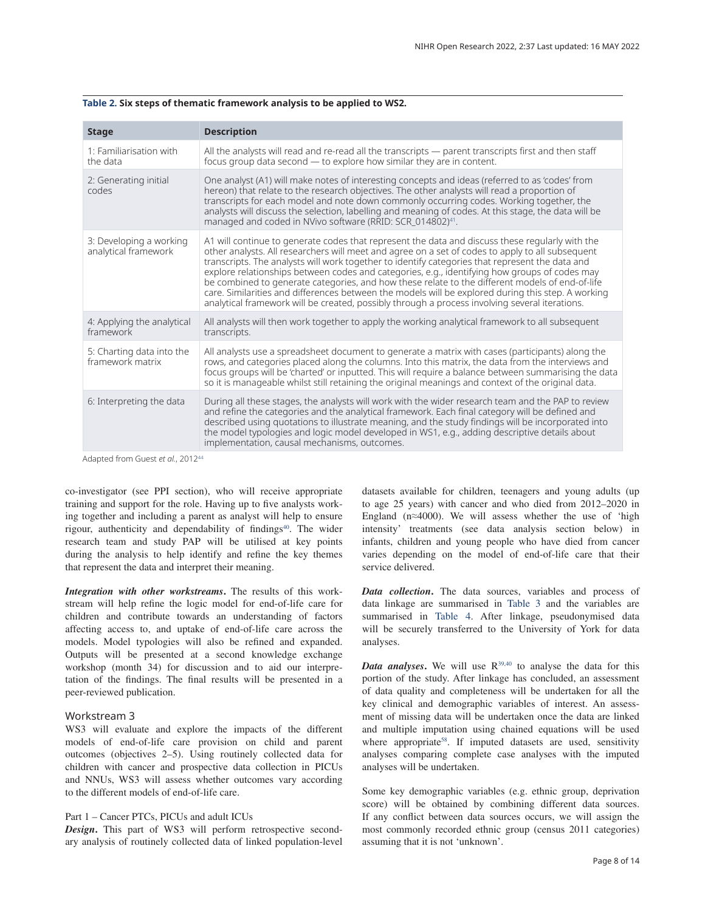| <b>Stage</b>                                                                                                                                                                                                                                                                                                                                                                                                                                                                            | <b>Description</b>                                                                                                                                                                                                                                                                                                                                                                                                                                                                                                                                                                                                                                                                                                 |
|-----------------------------------------------------------------------------------------------------------------------------------------------------------------------------------------------------------------------------------------------------------------------------------------------------------------------------------------------------------------------------------------------------------------------------------------------------------------------------------------|--------------------------------------------------------------------------------------------------------------------------------------------------------------------------------------------------------------------------------------------------------------------------------------------------------------------------------------------------------------------------------------------------------------------------------------------------------------------------------------------------------------------------------------------------------------------------------------------------------------------------------------------------------------------------------------------------------------------|
| 1: Familiarisation with<br>the data                                                                                                                                                                                                                                                                                                                                                                                                                                                     | All the analysts will read and re-read all the transcripts — parent transcripts first and then staff<br>focus group data second - to explore how similar they are in content.                                                                                                                                                                                                                                                                                                                                                                                                                                                                                                                                      |
| 2: Generating initial<br>codes                                                                                                                                                                                                                                                                                                                                                                                                                                                          | One analyst (A1) will make notes of interesting concepts and ideas (referred to as 'codes' from<br>hereon) that relate to the research objectives. The other analysts will read a proportion of<br>transcripts for each model and note down commonly occurring codes. Working together, the<br>analysts will discuss the selection, labelling and meaning of codes. At this stage, the data will be<br>managed and coded in NVivo software (RRID: SCR_014802) <sup>41</sup> .                                                                                                                                                                                                                                      |
| 3: Developing a working<br>analytical framework                                                                                                                                                                                                                                                                                                                                                                                                                                         | A1 will continue to generate codes that represent the data and discuss these regularly with the<br>other analysts. All researchers will meet and agree on a set of codes to apply to all subsequent<br>transcripts. The analysts will work together to identify categories that represent the data and<br>explore relationships between codes and categories, e.g., identifying how groups of codes may<br>be combined to generate categories, and how these relate to the different models of end-of-life<br>care. Similarities and differences between the models will be explored during this step. A working<br>analytical framework will be created, possibly through a process involving several iterations. |
| 4: Applying the analytical<br>framework                                                                                                                                                                                                                                                                                                                                                                                                                                                 | All analysts will then work together to apply the working analytical framework to all subsequent<br>transcripts.                                                                                                                                                                                                                                                                                                                                                                                                                                                                                                                                                                                                   |
| 5: Charting data into the<br>framework matrix                                                                                                                                                                                                                                                                                                                                                                                                                                           | All analysts use a spreadsheet document to generate a matrix with cases (participants) along the<br>rows, and categories placed along the columns. Into this matrix, the data from the interviews and<br>focus groups will be 'charted' or inputted. This will require a balance between summarising the data<br>so it is manageable whilst still retaining the original meanings and context of the original data.                                                                                                                                                                                                                                                                                                |
| 6: Interpreting the data<br>$\lambda$ , $\lambda$ , $\lambda$ , $\lambda$ , $\lambda$ , $\lambda$ , $\lambda$ , $\lambda$ , $\lambda$ , $\lambda$ , $\lambda$ , $\lambda$ , $\lambda$ , $\lambda$ , $\lambda$ , $\lambda$ , $\lambda$ , $\lambda$ , $\lambda$ , $\lambda$ , $\lambda$ , $\lambda$ , $\lambda$ , $\lambda$ , $\lambda$ , $\lambda$ , $\lambda$ , $\lambda$ , $\lambda$ , $\lambda$ , $\lambda$ , $\lambda$ , $\lambda$ , $\lambda$ , $\lambda$ , $\lambda$ , $\lambda$ , | During all these stages, the analysts will work with the wider research team and the PAP to review<br>and refine the categories and the analytical framework. Each final category will be defined and<br>described using quotations to illustrate meaning, and the study findings will be incorporated into<br>the model typologies and logic model developed in WS1, e.g., adding descriptive details about<br>implementation, causal mechanisms, outcomes.                                                                                                                                                                                                                                                       |

#### **Table 2. Six steps of thematic framework analysis to be applied to WS2.**

Adapted from Guest et al., 2012<sup>44</sup>

co-investigator (see PPI section), who will receive appropriate training and support for the role. Having up to five analysts working together and including a parent as analyst will help to ensure rigour, authenticity and dependability of findings<sup>40</sup>. The wider research team and study PAP will be utilised at key points during the analysis to help identify and refine the key themes that represent the data and interpret their meaning.

*Integration with other workstreams***.** The results of this workstream will help refine the logic model for end-of-life care for children and contribute towards an understanding of factors affecting access to, and uptake of end-of-life care across the models. Model typologies will also be refined and expanded. Outputs will be presented at a second knowledge exchange workshop (month 34) for discussion and to aid our interpretation of the findings. The final results will be presented in a peer-reviewed publication.

## Workstream 3

WS3 will evaluate and explore the impacts of the different models of end-of-life care provision on child and parent outcomes (objectives 2–5). Using routinely collected data for children with cancer and prospective data collection in PICUs and NNUs, WS3 will assess whether outcomes vary according to the different models of end-of-life care.

## Part 1 – Cancer PTCs, PICUs and adult ICUs

*Design***.** This part of WS3 will perform retrospective secondary analysis of routinely collected data of linked population-level datasets available for children, teenagers and young adults (up to age 25 years) with cancer and who died from 2012–2020 in England (n≈4000). We will assess whether the use of 'high intensity' treatments (see data analysis section below) in infants, children and young people who have died from cancer varies depending on the model of end-of-life care that their service delivered.

*Data collection***.** The data sources, variables and process of data linkage are summarised in Table 3 and the variables are summarised in Table 4. After linkage, pseudonymised data will be securely transferred to the University of York for data analyses.

*Data analyses*. We will use  $R^{39,40}$  to analyse the data for this portion of the study. After linkage has concluded, an assessment of data quality and completeness will be undertaken for all the key clinical and demographic variables of interest. An assessment of missing data will be undertaken once the data are linked and multiple imputation using chained equations will be used where appropriate<sup>58</sup>. If imputed datasets are used, sensitivity analyses comparing complete case analyses with the imputed analyses will be undertaken.

Some key demographic variables (e.g. ethnic group, deprivation score) will be obtained by combining different data sources. If any conflict between data sources occurs, we will assign the most commonly recorded ethnic group (census 2011 categories) assuming that it is not 'unknown'.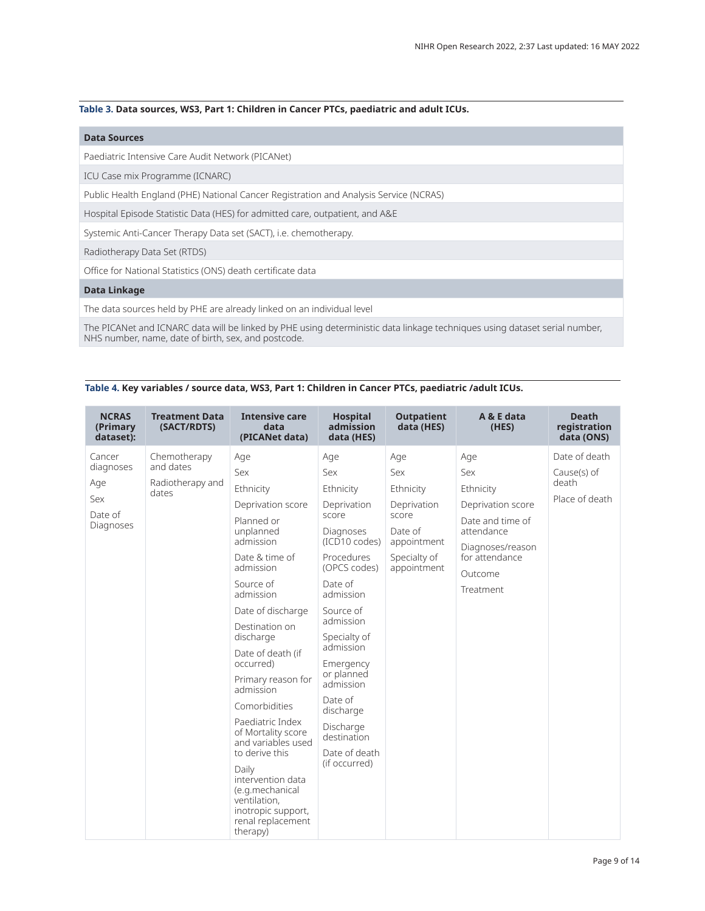## **Table 3. Data sources, WS3, Part 1: Children in Cancer PTCs, paediatric and adult ICUs.**

## **Data Sources**

Paediatric Intensive Care Audit Network (PICANet)

ICU Case mix Programme (ICNARC)

Public Health England (PHE) National Cancer Registration and Analysis Service (NCRAS)

Hospital Episode Statistic Data (HES) for admitted care, outpatient, and A&E

Systemic Anti-Cancer Therapy Data set (SACT), i.e. chemotherapy.

Radiotherapy Data Set (RTDS)

Office for National Statistics (ONS) death certificate data

## **Data Linkage**

The data sources held by PHE are already linked on an individual level

The PICANet and ICNARC data will be linked by PHE using deterministic data linkage techniques using dataset serial number, NHS number, name, date of birth, sex, and postcode.

|  |  |  |  |  | Table 4. Key variables / source data, WS3, Part 1: Children in Cancer PTCs, paediatric /adult ICUs. |
|--|--|--|--|--|-----------------------------------------------------------------------------------------------------|
|--|--|--|--|--|-----------------------------------------------------------------------------------------------------|

| <b>NCRAS</b><br>(Primary<br>dataset):                     | <b>Treatment Data</b><br>(SACT/RDTS)                   | <b>Intensive care</b><br>data<br>(PICANet data)                                                                                                                                                                                                                                                                                                                                                                                                                                                   | <b>Hospital</b><br>admission<br>data (HES)                                                                                                                                                                                                                                                                               | <b>Outpatient</b><br>data (HES)                                                                          | A & E data<br>(HES)                                                                                                                          | <b>Death</b><br>registration<br>data (ONS)              |
|-----------------------------------------------------------|--------------------------------------------------------|---------------------------------------------------------------------------------------------------------------------------------------------------------------------------------------------------------------------------------------------------------------------------------------------------------------------------------------------------------------------------------------------------------------------------------------------------------------------------------------------------|--------------------------------------------------------------------------------------------------------------------------------------------------------------------------------------------------------------------------------------------------------------------------------------------------------------------------|----------------------------------------------------------------------------------------------------------|----------------------------------------------------------------------------------------------------------------------------------------------|---------------------------------------------------------|
| Cancer<br>diagnoses<br>Age<br>Sex<br>Date of<br>Diagnoses | Chemotherapy<br>and dates<br>Radiotherapy and<br>dates | Age<br>Sex<br>Ethnicity<br>Deprivation score<br>Planned or<br>unplanned<br>admission<br>Date & time of<br>admission<br>Source of<br>admission<br>Date of discharge<br>Destination on<br>discharge<br>Date of death (if<br>occurred)<br>Primary reason for<br>admission<br>Comorbidities<br>Paediatric Index<br>of Mortality score<br>and variables used<br>to derive this<br>Daily<br>intervention data<br>(e.g.mechanical<br>ventilation,<br>inotropic support,<br>renal replacement<br>therapy) | Age<br>Sex<br>Ethnicity<br>Deprivation<br>score<br>Diagnoses<br>(ICD10 codes)<br>Procedures<br>(OPCS codes)<br>Date of<br>admission<br>Source of<br>admission<br>Specialty of<br>admission<br>Emergency<br>or planned<br>admission<br>Date of<br>discharge<br>Discharge<br>destination<br>Date of death<br>(if occurred) | Age<br>Sex<br>Ethnicity<br>Deprivation<br>score<br>Date of<br>appointment<br>Specialty of<br>appointment | Age<br>Sex<br>Ethnicity<br>Deprivation score<br>Date and time of<br>attendance<br>Diagnoses/reason<br>for attendance<br>Outcome<br>Treatment | Date of death<br>Cause(s) of<br>death<br>Place of death |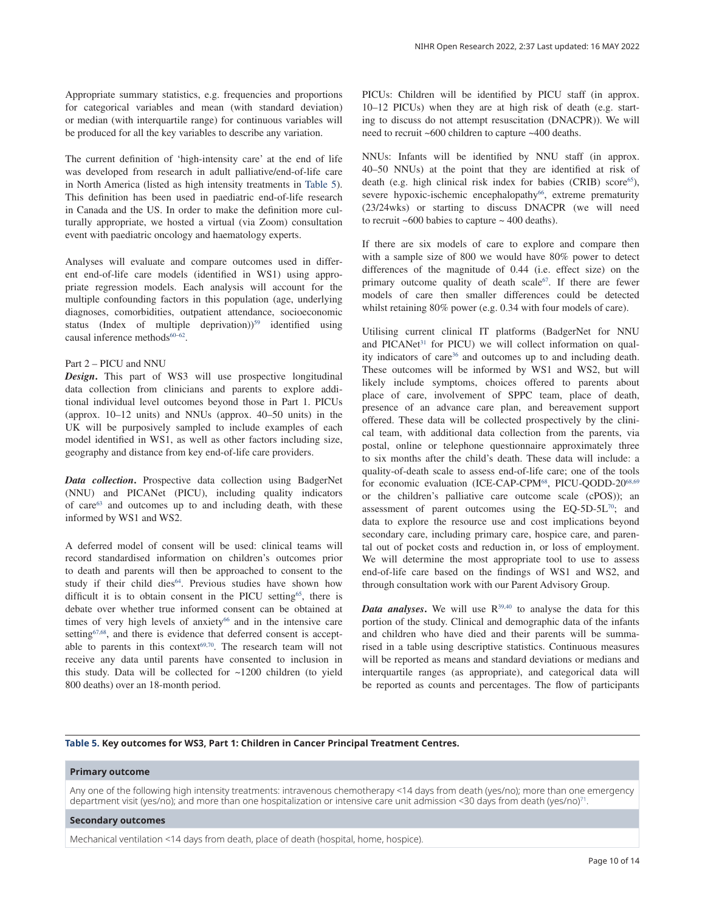The current definition of 'high-intensity care' at the end of life was developed from research in adult palliative/end-of-life care in North America (listed as high intensity treatments in Table 5). This definition has been used in paediatric end-of-life research in Canada and the US. In order to make the definition more culturally appropriate, we hosted a virtual (via Zoom) consultation event with paediatric oncology and haematology experts.

Analyses will evaluate and compare outcomes used in different end-of-life care models (identified in WS1) using appropriate regression models. Each analysis will account for the multiple confounding factors in this population (age, underlying diagnoses, comorbidities, outpatient attendance, socioeconomic status (Index of multiple deprivation))<sup>59</sup> identified using causal inference methods $60-62$ .

## Part 2 – PICU and NNU

*Design***.** This part of WS3 will use prospective longitudinal data collection from clinicians and parents to explore additional individual level outcomes beyond those in Part 1. PICUs (approx. 10–12 units) and NNUs (approx. 40–50 units) in the UK will be purposively sampled to include examples of each model identified in WS1, as well as other factors including size, geography and distance from key end-of-life care providers.

*Data collection***.** Prospective data collection using BadgerNet (NNU) and PICANet (PICU), including quality indicators of care<sup>63</sup> and outcomes up to and including death, with these informed by WS1 and WS2.

A deferred model of consent will be used: clinical teams will record standardised information on children's outcomes prior to death and parents will then be approached to consent to the study if their child dies<sup>64</sup>. Previous studies have shown how difficult it is to obtain consent in the PICU setting<sup>65</sup>, there is debate over whether true informed consent can be obtained at times of very high levels of anxiety<sup>66</sup> and in the intensive care setting<sup>67,68</sup>, and there is evidence that deferred consent is acceptable to parents in this context<sup>69,70</sup>. The research team will not receive any data until parents have consented to inclusion in this study. Data will be collected for ~1200 children (to yield 800 deaths) over an 18-month period.

PICUs: Children will be identified by PICU staff (in approx. 10–12 PICUs) when they are at high risk of death (e.g. starting to discuss do not attempt resuscitation (DNACPR)). We will need to recruit ~600 children to capture ~400 deaths.

NNUs: Infants will be identified by NNU staff (in approx. 40–50 NNUs) at the point that they are identified at risk of death (e.g. high clinical risk index for babies (CRIB) score<sup>65</sup>), severe hypoxic-ischemic encephalopathy<sup>66</sup>, extreme prematurity (23/24wks) or starting to discuss DNACPR (we will need to recruit  $~600$  babies to capture  $~400$  deaths).

If there are six models of care to explore and compare then with a sample size of 800 we would have 80% power to detect differences of the magnitude of 0.44 (i.e. effect size) on the primary outcome quality of death scale<sup>67</sup>. If there are fewer models of care then smaller differences could be detected whilst retaining 80% power (e.g. 0.34 with four models of care).

Utilising current clinical IT platforms (BadgerNet for NNU and PICANet<sup>31</sup> for PICU) we will collect information on quality indicators of care<sup>36</sup> and outcomes up to and including death. These outcomes will be informed by WS1 and WS2, but will likely include symptoms, choices offered to parents about place of care, involvement of SPPC team, place of death, presence of an advance care plan, and bereavement support offered. These data will be collected prospectively by the clinical team, with additional data collection from the parents, via postal, online or telephone questionnaire approximately three to six months after the child's death. These data will include: a quality-of-death scale to assess end-of-life care; one of the tools for economic evaluation (ICE-CAP-CPM<sup>68</sup>, PICU-QODD-20<sup>68,69</sup> or the children's palliative care outcome scale (cPOS)); an assessment of parent outcomes using the EQ-5D-5L $^{70}$ ; and data to explore the resource use and cost implications beyond secondary care, including primary care, hospice care, and parental out of pocket costs and reduction in, or loss of employment. We will determine the most appropriate tool to use to assess end-of-life care based on the findings of WS1 and WS2, and through consultation work with our Parent Advisory Group.

*Data analyses*. We will use  $R^{39,40}$  to analyse the data for this portion of the study. Clinical and demographic data of the infants and children who have died and their parents will be summarised in a table using descriptive statistics. Continuous measures will be reported as means and standard deviations or medians and interquartile ranges (as appropriate), and categorical data will be reported as counts and percentages. The flow of participants

## **Table 5. Key outcomes for WS3, Part 1: Children in Cancer Principal Treatment Centres.**

## **Primary outcome**

Any one of the following high intensity treatments: intravenous chemotherapy <14 days from death (yes/no); more than one emergency department visit (yes/no); and more than one hospitalization or intensive care unit admission <30 days from death (yes/no)<sup>71</sup> .

### **Secondary outcomes**

Mechanical ventilation <14 days from death, place of death (hospital, home, hospice).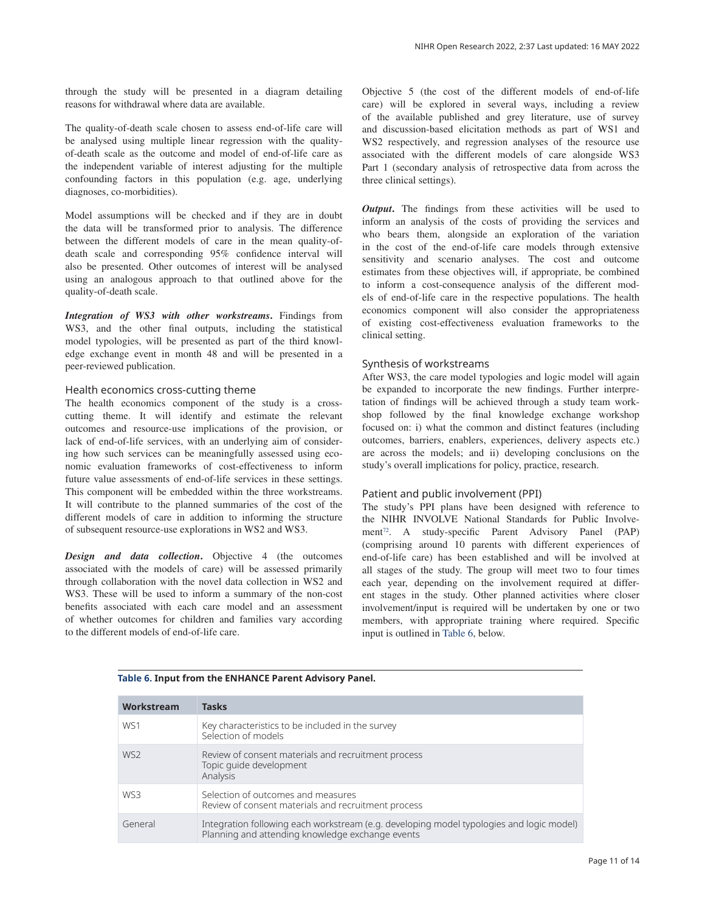through the study will be presented in a diagram detailing reasons for withdrawal where data are available.

The quality-of-death scale chosen to assess end-of-life care will be analysed using multiple linear regression with the qualityof-death scale as the outcome and model of end-of-life care as the independent variable of interest adjusting for the multiple confounding factors in this population (e.g. age, underlying diagnoses, co-morbidities).

Model assumptions will be checked and if they are in doubt the data will be transformed prior to analysis. The difference between the different models of care in the mean quality-ofdeath scale and corresponding 95% confidence interval will also be presented. Other outcomes of interest will be analysed using an analogous approach to that outlined above for the quality-of-death scale.

*Integration of WS3 with other workstreams***.** Findings from WS3, and the other final outputs, including the statistical model typologies, will be presented as part of the third knowledge exchange event in month 48 and will be presented in a peer-reviewed publication.

#### Health economics cross-cutting theme

The health economics component of the study is a crosscutting theme. It will identify and estimate the relevant outcomes and resource-use implications of the provision, or lack of end-of-life services, with an underlying aim of considering how such services can be meaningfully assessed using economic evaluation frameworks of cost-effectiveness to inform future value assessments of end-of-life services in these settings. This component will be embedded within the three workstreams. It will contribute to the planned summaries of the cost of the different models of care in addition to informing the structure of subsequent resource-use explorations in WS2 and WS3.

*Design and data collection***.** Objective 4 (the outcomes associated with the models of care) will be assessed primarily through collaboration with the novel data collection in WS2 and WS3. These will be used to inform a summary of the non-cost benefits associated with each care model and an assessment of whether outcomes for children and families vary according to the different models of end-of-life care.

Objective 5 (the cost of the different models of end-of-life care) will be explored in several ways, including a review of the available published and grey literature, use of survey and discussion-based elicitation methods as part of WS1 and WS2 respectively, and regression analyses of the resource use associated with the different models of care alongside WS3 Part 1 (secondary analysis of retrospective data from across the three clinical settings).

*Output*. The findings from these activities will be used to inform an analysis of the costs of providing the services and who bears them, alongside an exploration of the variation in the cost of the end-of-life care models through extensive sensitivity and scenario analyses. The cost and outcome estimates from these objectives will, if appropriate, be combined to inform a cost-consequence analysis of the different models of end-of-life care in the respective populations. The health economics component will also consider the appropriateness of existing cost-effectiveness evaluation frameworks to the clinical setting.

## Synthesis of workstreams

After WS3, the care model typologies and logic model will again be expanded to incorporate the new findings. Further interpretation of findings will be achieved through a study team workshop followed by the final knowledge exchange workshop focused on: i) what the common and distinct features (including outcomes, barriers, enablers, experiences, delivery aspects etc.) are across the models; and ii) developing conclusions on the study's overall implications for policy, practice, research.

#### Patient and public involvement (PPI)

The study's PPI plans have been designed with reference to the NIHR INVOLVE National Standards for Public Involvement<sup>72</sup>. A study-specific Parent Advisory Panel (PAP) (comprising around 10 parents with different experiences of end-of-life care) has been established and will be involved at all stages of the study. The group will meet two to four times each year, depending on the involvement required at different stages in the study. Other planned activities where closer involvement/input is required will be undertaken by one or two members, with appropriate training where required. Specific input is outlined in Table 6, below.

| Workstream      | <b>Tasks</b>                                                                                                                                 |
|-----------------|----------------------------------------------------------------------------------------------------------------------------------------------|
| W <sub>S1</sub> | Key characteristics to be included in the survey<br>Selection of models                                                                      |
| W <sub>S2</sub> | Review of consent materials and recruitment process<br>Topic quide development<br>Analysis                                                   |
| WS3             | Selection of outcomes and measures<br>Review of consent materials and recruitment process                                                    |
| General         | Integration following each workstream (e.g. developing model typologies and logic model)<br>Planning and attending knowledge exchange events |

## **Table 6. Input from the ENHANCE Parent Advisory Panel.**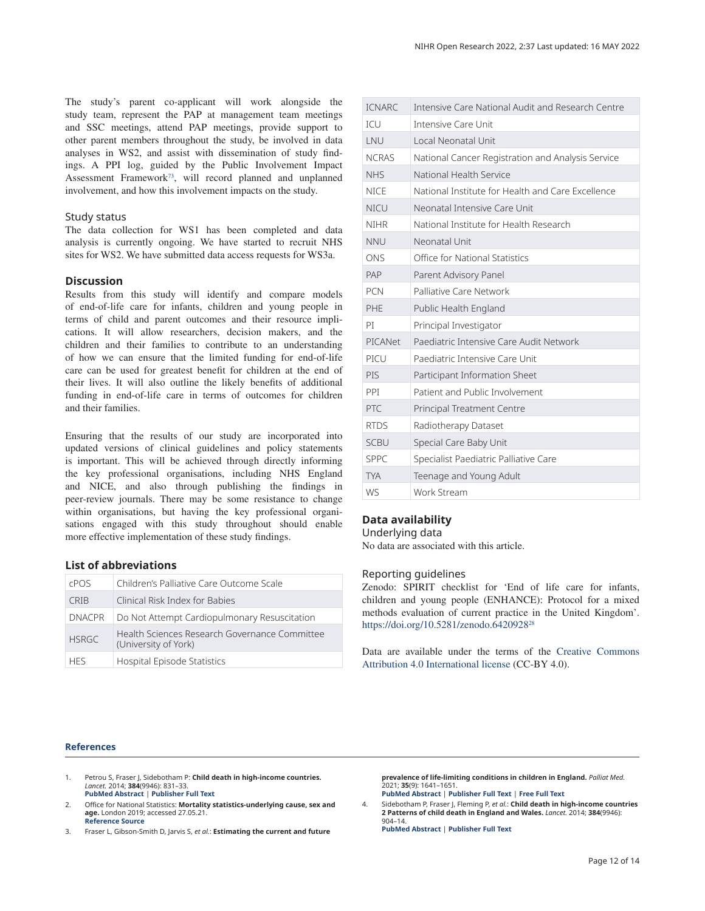The study's parent co-applicant will work alongside the study team, represent the PAP at management team meetings and SSC meetings, attend PAP meetings, provide support to other parent members throughout the study, be involved in data analyses in WS2, and assist with dissemination of study findings. A PPI log, guided by the Public Involvement Impact Assessment Framework<sup>73</sup>, will record planned and unplanned involvement, and how this involvement impacts on the study.

#### Study status

The data collection for WS1 has been completed and data analysis is currently ongoing. We have started to recruit NHS sites for WS2. We have submitted data access requests for WS3a.

## **Discussion**

Results from this study will identify and compare models of end-of-life care for infants, children and young people in terms of child and parent outcomes and their resource implications. It will allow researchers, decision makers, and the children and their families to contribute to an understanding of how we can ensure that the limited funding for end-of-life care can be used for greatest benefit for children at the end of their lives. It will also outline the likely benefits of additional funding in end-of-life care in terms of outcomes for children and their families.

Ensuring that the results of our study are incorporated into updated versions of clinical guidelines and policy statements is important. This will be achieved through directly informing the key professional organisations, including NHS England and NICE, and also through publishing the findings in peer-review journals. There may be some resistance to change within organisations, but having the key professional organisations engaged with this study throughout should enable more effective implementation of these study findings.

## **List of abbreviations**

| <b>CPOS</b>   | Children's Palliative Care Outcome Scale                              |
|---------------|-----------------------------------------------------------------------|
| CRIB          | Clinical Risk Index for Babies                                        |
| <b>DNACPR</b> | Do Not Attempt Cardiopulmonary Resuscitation                          |
| <b>HSRGC</b>  | Health Sciences Research Governance Committee<br>(University of York) |
| <b>HFS</b>    | Hospital Episode Statistics                                           |

## NIHR Open Research 2022, 2:37 Last updated: 16 MAY 2022

| <b>ICNARC</b> | Intensive Care National Audit and Research Centre |
|---------------|---------------------------------------------------|
| <b>TCU</b>    | Intensive Care Unit                               |
| LNU           | Local Neonatal Unit                               |
| <b>NCRAS</b>  | National Cancer Registration and Analysis Service |
| <b>NHS</b>    | National Health Service                           |
| <b>NICE</b>   | National Institute for Health and Care Excellence |
| <b>NICU</b>   | Neonatal Intensive Care Unit                      |
| <b>NIHR</b>   | National Institute for Health Research            |
| <b>NNU</b>    | Neonatal Unit                                     |
| ONS           | Office for National Statistics                    |
| PAP           | Parent Advisory Panel                             |
| <b>PCN</b>    | Palliative Care Network                           |
| <b>PHE</b>    | Public Health England                             |
| PT            | Principal Investigator                            |
| PICANet       | Paediatric Intensive Care Audit Network           |
| PICU          | Paediatric Intensive Care Unit                    |
| PIS           | Participant Information Sheet                     |
| <b>PPI</b>    | Patient and Public Involvement                    |
| PTC           | <b>Principal Treatment Centre</b>                 |
| <b>RTDS</b>   | Radiotherapy Dataset                              |
| <b>SCBU</b>   | Special Care Baby Unit                            |
| <b>SPPC</b>   | Specialist Paediatric Palliative Care             |
| <b>TYA</b>    | Teenage and Young Adult                           |
| <b>WS</b>     | Work Stream                                       |

## **Data availability**

Underlying data

No data are associated with this article.

## Reporting guidelines

Zenodo: SPIRIT checklist for 'End of life care for infants, children and young people (ENHANCE): Protocol for a mixed methods evaluation of current practice in the United Kingdom'. https://doi.org/10.5281/zenodo.6420928<sup>28</sup>

Data are available under the terms of the Creative Commons Attribution 4.0 International license (CC-BY 4.0).

#### **References**

- 1. Petrou S, Fraser J, Sidebotham P: **Child death in high-income countries.** *Lancet.* 2014; **384**(9946): 831–33. **PubMed Abstract** | **Publisher Full Text**
- Office for National Statistics: Mortality statistics-underlying cause, sex and **age.** London 2019; accessed 27.05.21. **Reference Source**
- 3. Fraser L, Gibson-Smith D, Jarvis S, *et al.*: **Estimating the current and future**

**prevalence of life-limiting conditions in children in England.** *Palliat Med.* 2021; **35**(9): 1641–1651. **PubMed Abstract** | **Publisher Full Text** | **Free Full Text** 

4. Sidebotham P, Fraser J, Fleming P, *et al.*: **Child death in high-income countries 2 Patterns of child death in England and Wales.** *Lancet.* 2014; **384**(9946): 904–14.

**PubMed Abstract** | **Publisher Full Text**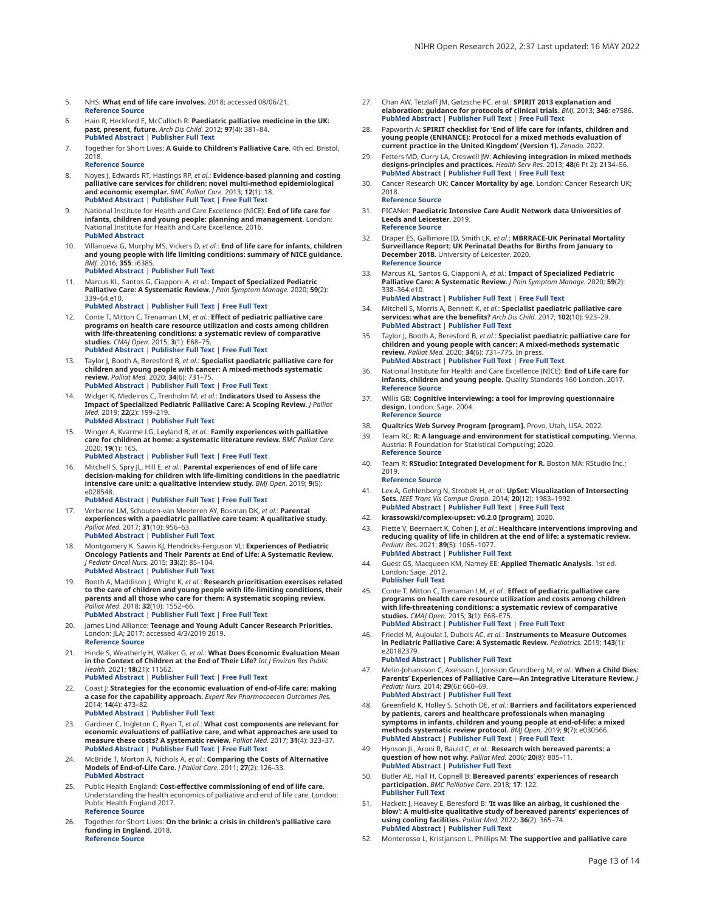- 5. NHS: **What end of life care involves.** 2018; accessed 08/06/21. **Reference Source**
- 6. Hain R, Heckford E, McCulloch R: **Paediatric palliative medicine in the UK: past, present, future.** *Arch Dis Child.* 2012; **97**(4): 381–84. **PubMed Abstract** | **Publisher Full Text**
- 7. Together for Short Lives: **A Guide to Children's Palliative Care**. 4th ed. Bristol, 2018. **Reference Source**
- 8. Noyes J, Edwards RT, Hastings RP, *et al.*: **Evidence-based planning and costing palliative care services for children: novel multi-method epidemiological and economic exemplar.** *BMC Palliat Care.* 2013; **12**(1): 18. **PubMed Abstract** | **Publisher Full Text** | **Free Full Text**
- 9. National Institute for Health and Care Excellence (NICE): **End of life care for infants, children and young people: planning and management**. London: National Institute for Health and Care Excellence, 2016. **PubMed Abstract**
- 10. Villanueva G, Murphy MS, Vickers D, *et al.*: **End of life care for infants, children and young people with life limiting conditions: summary of NICE guidance.** *BMJ.* 2016; **355**: i6385.

## **PubMed Abstract** | **Publisher Full Text**

11. Marcus KL, Santos G, Ciapponi A, *et al.*: **Impact of Specialized Pediatric Palliative Care: A Systematic Review.** *J Pain Symptom Manage.* 2020; **59**(2): 339–64.e10.

#### **PubMed Abstract** | **Publisher Full Text** | **Free Full Text**

- 12. Conte T, Mitton C, Trenaman LM, *et al.*: **Effect of pediatric palliative care programs on health care resource utilization and costs among children with life-threatening conditions: a systematic review of comparative studies.** *CMAJ Open.* 2015; **3**(1): E68–75. **PubMed Abstract** | **Publisher Full Text** | **Free Full Text**
- 13. Taylor J, Booth A, Beresford B, *et al.*: **Specialist paediatric palliative care for children and young people with cancer: A mixed-methods systematic review.** *Palliat Med.* 2020; **34**(6): 731–75. **PubMed Abstract** | **Publisher Full Text** | **Free Full Text**
- 14. Widger K, Medeiros C, Trenholm M, *et al.*: **Indicators Used to Assess the Impact of Specialized Pediatric Palliative Care: A Scoping Review.** *J Palliat Med.* 2019; **22**(2): 199–219.
	- **PubMed Abstract** | **Publisher Full Text**
- 15. Winger A, Kvarme LG, Løyland B, *et al.*: **Family experiences with palliative care for children at home: a systematic literature review.** *BMC Palliat Care.* 2020; **19**(1): 165.

**PubMed Abstract** | **Publisher Full Text** | **Free Full Text** 

Mitchell S, Spry JL, Hill E, et al.: **Parental experiences of end of life care decision-making for children with life-limiting conditions in the paediatric intensive care unit: a qualitative interview study.** *BMJ Open.* 2019; **9**(5): e028548.

**PubMed Abstract** | **Publisher Full Text** | **Free Full Text** 

- 17. Verberne LM, Schouten-van Meeteren AY, Bosman DK, *et al.*: **Parental experiences with a paediatric palliative care team: A qualitative study.** *Palliat Med.* 2017; **31**(10): 956–63. **PubMed Abstract** | **Publisher Full Text**
- 18. Montgomery K, Sawin KJ, Hendricks-Ferguson VL: **Experiences of Pediatric Oncology Patients and Their Parents at End of Life: A Systematic Review.** *J Pediatr Oncol Nurs.* 2015; **33**(2): 85–104. **PubMed Abstract** | **Publisher Full Text**
- 19. Booth A, Maddison J, Wright K, *et al.*: **Research prioritisation exercises related to the care of children and young people with life-limiting conditions, their parents and all those who care for them: A systematic scoping review.** *Palliat Med.* 2018; **32**(10): 1552–66.

**PubMed Abstract** | **Publisher Full Text** | **Free Full Text** 

- 20. James Lind Alliance: **Teenage and Young Adult Cancer Research Priorities.** London: JLA; 2017; accessed 4/3/2019 2019. **Reference Source**
- 21. Hinde S, Weatherly H, Walker G, *et al.*: **What Does Economic Evaluation Mean in the Context of Children at the End of Their Life?** *Int J Environ Res Public Health.* 2021; **18**(21): 11562. **PubMed Abstract** | **Publisher Full Text** | **Free Full Text**
- 22. Coast J: **Strategies for the economic evaluation of end-of-life care: making a case for the capability approach.** *Expert Rev Pharmacoecon Outcomes Res.* 2014; **14**(4): 473–82.

**PubMed Abstract** | **Publisher Full Text** 

- 23. Gardiner C, Ingleton C, Ryan T, *et al.*: **What cost components are relevant for economic evaluations of palliative care, and what approaches are used to measure these costs? A systematic review.** *Palliat Med.* 2017; **31**(4): 323–37. **PubMed Abstract** | **Publisher Full Text** | **Free Full Text**
- 24. McBride T, Morton A, Nichols A, *et al.*: **Comparing the Costs of Alternative Models of End-of-Life Care.** *J Palliat Care.* 2011; **27**(2): 126–33. **PubMed Abstract**
- 25. Public Health England: **Cost-effective commissioning of end of life care.** Understanding the health economics of palliative and end of life care. London: Public Health England 2017. **Reference Source**
- 26. Together for Short Lives: **On the brink: a crisis in children's palliative care funding in England.** 2018. **Reference Source**
- 27. Chan AW, Tetzlaff JM, Gøtzsche PC, et al.: **SPIRIT 2013 explanation and elaboration: guidance for protocols of clinical trials.** *BMJ.* 2013; **346**: e7586. **PubMed Abstract** | **Publisher Full Text** | **Free Full Text**
- 28. Papworth A: **SPIRIT checklist for 'End of life care for infants, children and young people (ENHANCE): Protocol for a mixed methods evaluation of current practice in the United Kingdom' (Version 1).** *Zenodo.* 2022.
- 29. Fetters MD, Curry LA, Creswell JW: **Achieving integration in mixed methods designs-principles and practices.** *Health Serv Res.* 2013; **48**(6 Pt 2): 2134–56. **PubMed Abstract** | **Publisher Full Text** | **Free Full Text**
- 30. Cancer Research UK: **Cancer Mortality by age.** London: Cancer Research UK; 2018. **Reference Source**
- 31. PICANet: **Paediatric Intensive Care Audit Network data Universities of Leeds and Leicester.** 2019. **Reference Source**
- 32. Draper ES, Gallimore ID, Smith LK, *et al.*: **MBRRACE-UK Perinatal Mortality Surveillance Report: UK Perinatal Deaths for Births from January to December 2018.** University of Leicester. 2020. **Reference Source**
- 33. Marcus KL, Santos G, Ciapponi A, *et al.*: **Impact of Specialized Pediatric Palliative Care: A Systematic Review.** *J Pain Symptom Manage.* 2020; **59**(2): 338–364.e10. **PubMed Abstract** | **Publisher Full Text** | **Free Full Text**
- 34. Mitchell S, Morris A, Bennett K, *et al.*: **Specialist paediatric palliative care services: what are the benefits?** *Arch Dis Child.* 2017; **102**(10): 923–29. **PubMed Abstract** | **Publisher Full Text**
- 35. Taylor J, Booth A, Beresford B, *et al.*: **Specialist paediatric palliative care for children and young people with cancer: A mixed-methods systematic review.** *Palliat Med.* 2020; **34**(6): 731–775. In press. **PubMed Abstract** | **Publisher Full Text** | **Free Full Text**
- 36. National Institute for Health and Care Excellence (NICE): **End of Life care for infants, children and young people.** Quality Standards 160 London. 2017. **Reference Source**
- 37. Willis GB: **Cognitive interviewing: a tool for improving questionnaire design.** London: Sage. 2004. **Reference Source**
- 38. **Qualtrics Web Survey Program [program].** Provo, Utah, USA. 2022.
- 39. Team RC: **R: A language and environment for statistical computing.** Vienna, Austria: R Foundation for Statistical Computing; 2020. **Reference Source**
- 40. Team R: **RStudio: Integrated Development for R.** Boston MA: RStudio Inc.; 2019.

### **Reference Source**

- 41. Lex A, Gehlenborg N, Strobelt H, *et al.*: **UpSet: Visualization of Intersecting Sets.** *IEEE Trans Vis Comput Graph.* 2014; **20**(12): 1983–1992. **PubMed Abstract** | **Publisher Full Text** | **Free Full Text**
- 42. **krassowski/complex-upset: v0.2.0 [program]**, 2020.
- 43. Piette V, Beernaert K, Cohen J, *et al.*: **Healthcare interventions improving and reducing quality of life in children at the end of life: a systematic review.** *Pediatr Res.* 2021; **89**(5): 1065–1077. **PubMed Abstract** | **Publisher Full Text**
- 44. Guest GS, Macqueen KM, Namey EE: Applied Thematic Analysis. 1st ed. London: Sage. 2012. **Publisher Full Text**
- 45. Conte T, Mitton C, Trenaman LM, *et al.*: **Effect of pediatric palliative care programs on health care resource utilization and costs among children with life-threatening conditions: a systematic review of comparative studies.** *CMAJ Open.* 2015; **3**(1): E68–E75. **PubMed Abstract** | **Publisher Full Text** | **Free Full Text**
- 46. Friedel M, Aujoulat I, Dubois AC, *et al.*: **Instruments to Measure Outcomes in Pediatric Palliative Care: A Systematic Review.** *Pediatrics.* 2019; **143**(1): e20182379. **PubMed Abstract** | **Publisher Full Text**
- 47. Melin-Johansson C, Axelsson I, Jonsson Grundberg M, *et al.*: **When a Child Dies: Parents' Experiences of Palliative Care—An Integrative Literature Review.** *J Pediatr Nurs.* 2014; **29**(6): 660–69. **PubMed Abstract** | **Publisher Full Text**
- 48. Greenfield K, Holley S, Schoth DE, et al.: **Barriers and facilitators experienced by patients, carers and healthcare professionals when managing symptoms in infants, children and young people at end-of-life: a mixed methods systematic review protocol.** *BMJ Open.* 2019; **9**(7): e030566. **PubMed Abstract** | **Publisher Full Text** | **Free Full Text**
- 49. Hynson JL, Aroni R, Bauld C, *et al.*: **Research with bereaved parents: a question of how not why.** *Palliat Med.* 2006; **20**(8): 805–11. **PubMed Abstract** | **Publisher Full Text**
- 50. Butler AE, Hall H, Copnell B: **Bereaved parents' experiences of research participation.** *BMC Palliative Care.* 2018; **17**: 122. **Publisher Full Text**
- 51. Hackett J, Heavey E, Beresford B: **'It was like an airbag, it cushioned the blow': A multi-site qualitative study of bereaved parents' experiences of using cooling facilities.** *Palliat Med.* 2022; **36**(2): 365–74. **PubMed Abstract** | **Publisher Full Text**
- 52. Monterosso L, Kristjanson L, Phillips M: **The supportive and palliative care**